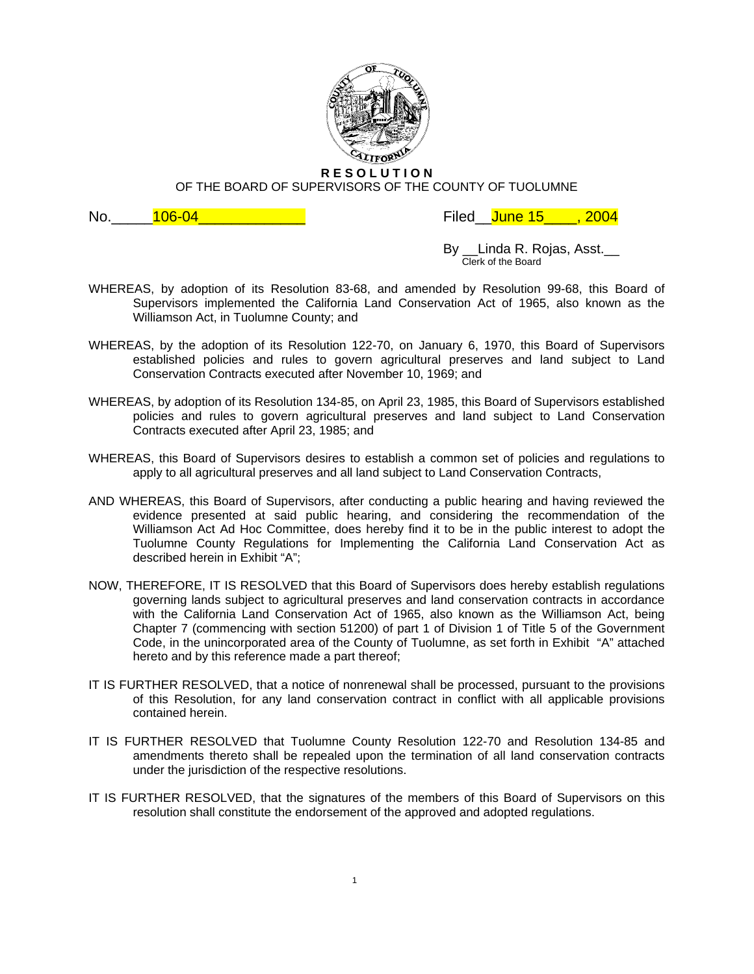

**R E S O L U T I O N**

OF THE BOARD OF SUPERVISORS OF THE COUNTY OF TUOLUMNE

No.\_\_\_\_\_106-04\_\_\_\_\_\_\_\_\_\_\_\_\_ Filed\_\_June 15\_\_\_\_, 2004

By *\_\_*Linda R. Rojas, Asst.\_\_<br>Clerk of the Board

- WHEREAS, by adoption of its Resolution 83-68, and amended by Resolution 99-68, this Board of Supervisors implemented the California Land Conservation Act of 1965, also known as the Williamson Act, in Tuolumne County; and
- WHEREAS, by the adoption of its Resolution 122-70, on January 6, 1970, this Board of Supervisors established policies and rules to govern agricultural preserves and land subject to Land Conservation Contracts executed after November 10, 1969; and
- WHEREAS, by adoption of its Resolution 134-85, on April 23, 1985, this Board of Supervisors established policies and rules to govern agricultural preserves and land subject to Land Conservation Contracts executed after April 23, 1985; and
- WHEREAS, this Board of Supervisors desires to establish a common set of policies and regulations to apply to all agricultural preserves and all land subject to Land Conservation Contracts,
- AND WHEREAS, this Board of Supervisors, after conducting a public hearing and having reviewed the evidence presented at said public hearing, and considering the recommendation of the Williamson Act Ad Hoc Committee, does hereby find it to be in the public interest to adopt the Tuolumne County Regulations for Implementing the California Land Conservation Act as described herein in Exhibit "A";
- NOW, THEREFORE, IT IS RESOLVED that this Board of Supervisors does hereby establish regulations governing lands subject to agricultural preserves and land conservation contracts in accordance with the California Land Conservation Act of 1965, also known as the Williamson Act, being Chapter 7 (commencing with section 51200) of part 1 of Division 1 of Title 5 of the Government Code, in the unincorporated area of the County of Tuolumne, as set forth in Exhibit "A" attached hereto and by this reference made a part thereof;
- IT IS FURTHER RESOLVED, that a notice of nonrenewal shall be processed, pursuant to the provisions of this Resolution, for any land conservation contract in conflict with all applicable provisions contained herein.
- IT IS FURTHER RESOLVED that Tuolumne County Resolution 122-70 and Resolution 134-85 and amendments thereto shall be repealed upon the termination of all land conservation contracts under the jurisdiction of the respective resolutions.
- IT IS FURTHER RESOLVED, that the signatures of the members of this Board of Supervisors on this resolution shall constitute the endorsement of the approved and adopted regulations.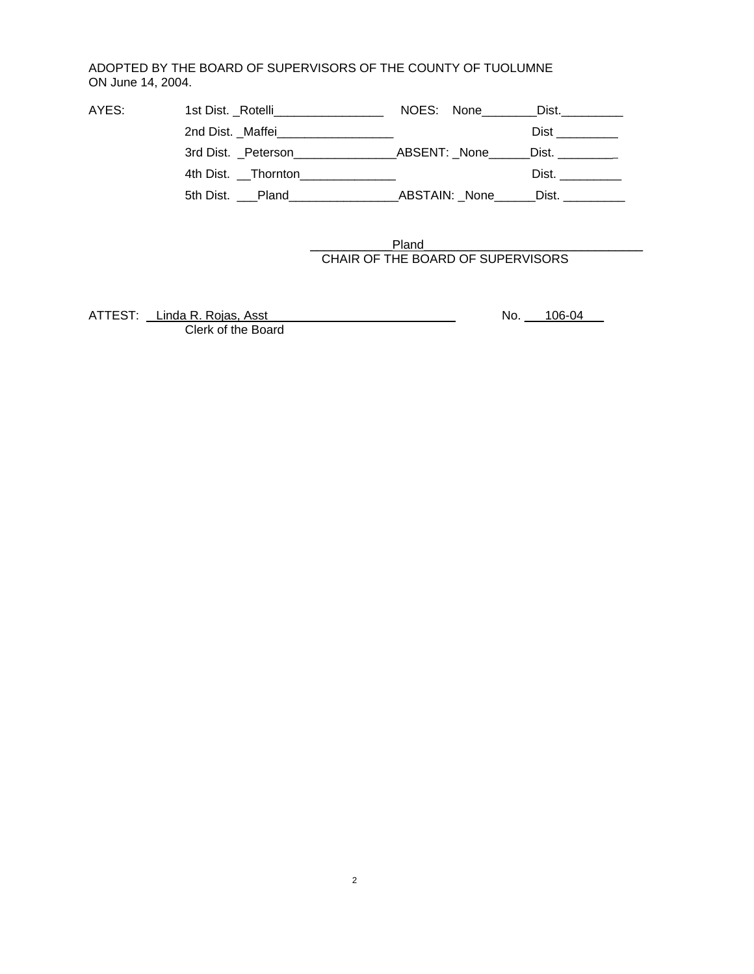## ADOPTED BY THE BOARD OF SUPERVISORS OF THE COUNTY OF TUOLUMNE ON June 14, 2004.

| AYES: | 1st Dist. _Rotelli__________________   | NOES: None    | Dist. <b>Distermination</b>                                                                                                                                                                                                    |
|-------|----------------------------------------|---------------|--------------------------------------------------------------------------------------------------------------------------------------------------------------------------------------------------------------------------------|
|       | 2nd Dist. _Maffei_____________________ |               | Dist in the set of the set of the set of the set of the set of the set of the set of the set of the set of the                                                                                                                 |
|       | 3rd Dist. Peterson                     | ABSENT: None  | Dist. __________                                                                                                                                                                                                               |
|       | 4th Dist. Thornton                     |               | Dist. And the set of the set of the set of the set of the set of the set of the set of the set of the set of the set of the set of the set of the set of the set of the set of the set of the set of the set of the set of the |
|       | 5th Dist. Pland                        | ABSTAIN: None | Dist. In the set of the set of the set of the set of the set of the set of the set of the set of the set of th                                                                                                                 |

\_\_\_\_\_\_\_\_\_\_\_\_Pland\_\_\_\_\_\_\_\_\_\_\_\_\_\_\_\_\_\_\_\_\_\_ CHAIR OF THE BOARD OF SUPERVISORS

\_\_\_\_\_\_\_\_\_\_

ATTEST: Linda R. Rojas, Asst Mateur Control Control No. 206-04\_\_\_ Clerk of the Board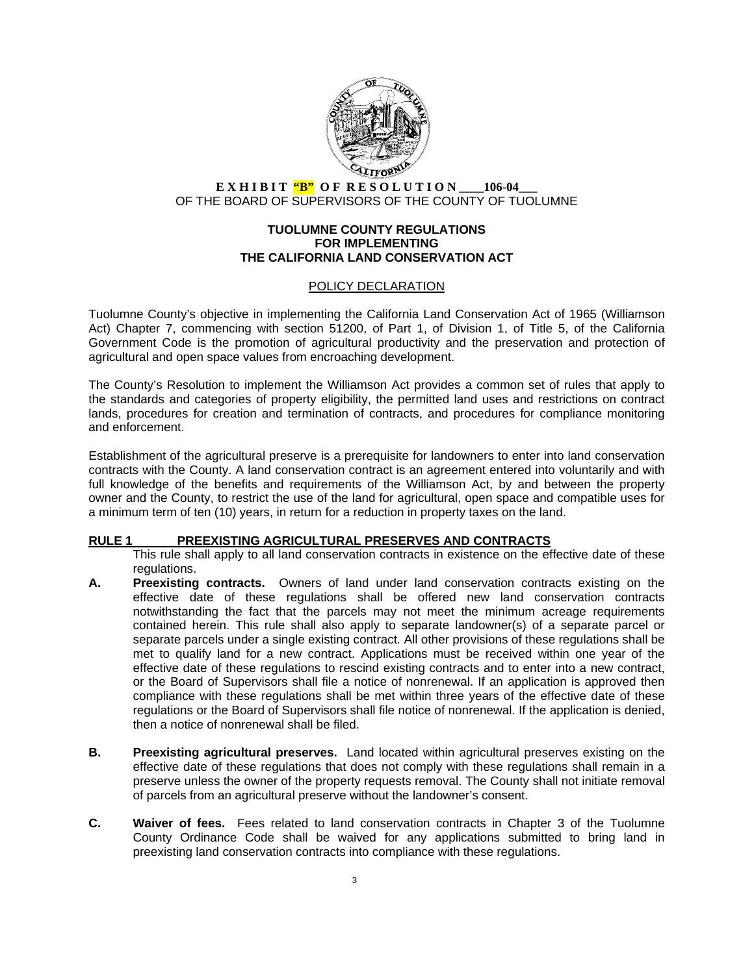

# **E X H I B I T "B" O F R E S O L U T I O N \_\_\_\_106-04\_\_\_** OF THE BOARD OF SUPERVISORS OF THE COUNTY OF TUOLUMNE

#### **TUOLUMNE COUNTY REGULATIONS FOR IMPLEMENTING THE CALIFORNIA LAND CONSERVATION ACT**

### POLICY DECLARATION

Tuolumne County's objective in implementing the California Land Conservation Act of 1965 (Williamson Act) Chapter 7, commencing with section 51200, of Part 1, of Division 1, of Title 5, of the California Government Code is the promotion of agricultural productivity and the preservation and protection of agricultural and open space values from encroaching development.

The County's Resolution to implement the Williamson Act provides a common set of rules that apply to the standards and categories of property eligibility, the permitted land uses and restrictions on contract lands, procedures for creation and termination of contracts, and procedures for compliance monitoring and enforcement.

Establishment of the agricultural preserve is a prerequisite for landowners to enter into land conservation contracts with the County. A land conservation contract is an agreement entered into voluntarily and with full knowledge of the benefits and requirements of the Williamson Act, by and between the property owner and the County, to restrict the use of the land for agricultural, open space and compatible uses for a minimum term of ten (10) years, in return for a reduction in property taxes on the land.

#### **RULE 1 PREEXISTING AGRICULTURAL PRESERVES AND CONTRACTS**

This rule shall apply to all land conservation contracts in existence on the effective date of these regulations.

- **A. Preexisting contracts.** Owners of land under land conservation contracts existing on the effective date of these regulations shall be offered new land conservation contracts notwithstanding the fact that the parcels may not meet the minimum acreage requirements contained herein. This rule shall also apply to separate landowner(s) of a separate parcel or separate parcels under a single existing contract*.* All other provisions of these regulations shall be met to qualify land for a new contract. Applications must be received within one year of the effective date of these regulations to rescind existing contracts and to enter into a new contract, or the Board of Supervisors shall file a notice of nonrenewal. If an application is approved then compliance with these regulations shall be met within three years of the effective date of these regulations or the Board of Supervisors shall file notice of nonrenewal. If the application is denied, then a notice of nonrenewal shall be filed.
- **B. Preexisting agricultural preserves.** Land located within agricultural preserves existing on the effective date of these regulations that does not comply with these regulations shall remain in a preserve unless the owner of the property requests removal. The County shall not initiate removal of parcels from an agricultural preserve without the landowner's consent.
- **C. Waiver of fees.** Fees related to land conservation contracts in Chapter 3 of the Tuolumne County Ordinance Code shall be waived for any applications submitted to bring land in preexisting land conservation contracts into compliance with these regulations.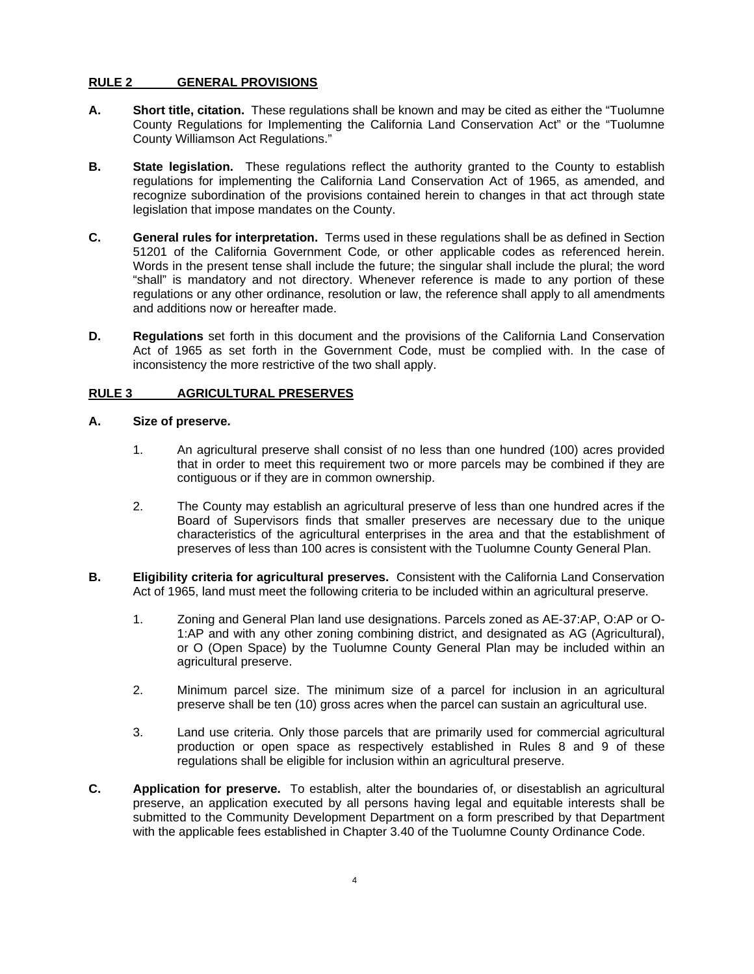### **RULE 2 GENERAL PROVISIONS**

- **A. Short title, citation.** These regulations shall be known and may be cited as either the "Tuolumne County Regulations for Implementing the California Land Conservation Act" or the "Tuolumne County Williamson Act Regulations."
- **B. State legislation.** These regulations reflect the authority granted to the County to establish regulations for implementing the California Land Conservation Act of 1965, as amended, and recognize subordination of the provisions contained herein to changes in that act through state legislation that impose mandates on the County.
- **C. General rules for interpretation.** Terms used in these regulations shall be as defined in Section 51201 of the California Government Code*,* or other applicable codes as referenced herein. Words in the present tense shall include the future; the singular shall include the plural; the word "shall" is mandatory and not directory. Whenever reference is made to any portion of these regulations or any other ordinance, resolution or law, the reference shall apply to all amendments and additions now or hereafter made.
- **D.** Regulations set forth in this document and the provisions of the California Land Conservation Act of 1965 as set forth in the Government Code, must be complied with. In the case of inconsistency the more restrictive of the two shall apply.

### **RULE 3 AGRICULTURAL PRESERVES**

#### **A. Size of preserve.**

- 1. An agricultural preserve shall consist of no less than one hundred (100) acres provided that in order to meet this requirement two or more parcels may be combined if they are contiguous or if they are in common ownership.
- 2. The County may establish an agricultural preserve of less than one hundred acres if the Board of Supervisors finds that smaller preserves are necessary due to the unique characteristics of the agricultural enterprises in the area and that the establishment of preserves of less than 100 acres is consistent with the Tuolumne County General Plan.
- **B. Eligibility criteria for agricultural preserves.** Consistent with the California Land Conservation Act of 1965, land must meet the following criteria to be included within an agricultural preserve.
	- 1. Zoning and General Plan land use designations. Parcels zoned as AE-37:AP, O:AP or O-1:AP and with any other zoning combining district, and designated as AG (Agricultural), or O (Open Space) by the Tuolumne County General Plan may be included within an agricultural preserve.
	- 2. Minimum parcel size. The minimum size of a parcel for inclusion in an agricultural preserve shall be ten (10) gross acres when the parcel can sustain an agricultural use.
	- 3. Land use criteria. Only those parcels that are primarily used for commercial agricultural production or open space as respectively established in Rules 8 and 9 of these regulations shall be eligible for inclusion within an agricultural preserve.
- **C. Application for preserve.** To establish, alter the boundaries of, or disestablish an agricultural preserve, an application executed by all persons having legal and equitable interests shall be submitted to the Community Development Department on a form prescribed by that Department with the applicable fees established in Chapter 3.40 of the Tuolumne County Ordinance Code.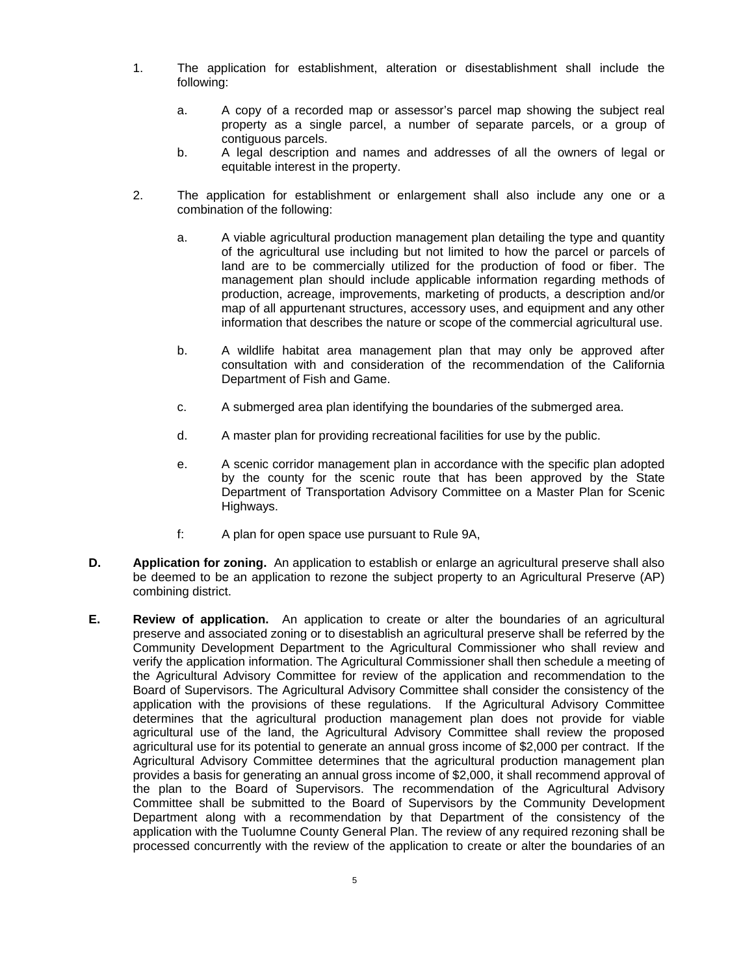- 1. The application for establishment, alteration or disestablishment shall include the following:
	- a. A copy of a recorded map or assessor's parcel map showing the subject real property as a single parcel, a number of separate parcels, or a group of contiguous parcels.
	- b. A legal description and names and addresses of all the owners of legal or equitable interest in the property.
- 2. The application for establishment or enlargement shall also include any one or a combination of the following:
	- a. A viable agricultural production management plan detailing the type and quantity of the agricultural use including but not limited to how the parcel or parcels of land are to be commercially utilized for the production of food or fiber. The management plan should include applicable information regarding methods of production, acreage, improvements, marketing of products, a description and/or map of all appurtenant structures, accessory uses, and equipment and any other information that describes the nature or scope of the commercial agricultural use.
	- b. A wildlife habitat area management plan that may only be approved after consultation with and consideration of the recommendation of the California Department of Fish and Game.
	- c. A submerged area plan identifying the boundaries of the submerged area.
	- d. A master plan for providing recreational facilities for use by the public.
	- e. A scenic corridor management plan in accordance with the specific plan adopted by the county for the scenic route that has been approved by the State Department of Transportation Advisory Committee on a Master Plan for Scenic Highways.
	- f: A plan for open space use pursuant to Rule 9A,
- **D.** Application for zoning. An application to establish or enlarge an agricultural preserve shall also be deemed to be an application to rezone the subject property to an Agricultural Preserve (AP) combining district.
- **E. Review of application.** An application to create or alter the boundaries of an agricultural preserve and associated zoning or to disestablish an agricultural preserve shall be referred by the Community Development Department to the Agricultural Commissioner who shall review and verify the application information. The Agricultural Commissioner shall then schedule a meeting of the Agricultural Advisory Committee for review of the application and recommendation to the Board of Supervisors. The Agricultural Advisory Committee shall consider the consistency of the application with the provisions of these regulations. If the Agricultural Advisory Committee determines that the agricultural production management plan does not provide for viable agricultural use of the land, the Agricultural Advisory Committee shall review the proposed agricultural use for its potential to generate an annual gross income of \$2,000 per contract. If the Agricultural Advisory Committee determines that the agricultural production management plan provides a basis for generating an annual gross income of \$2,000, it shall recommend approval of the plan to the Board of Supervisors. The recommendation of the Agricultural Advisory Committee shall be submitted to the Board of Supervisors by the Community Development Department along with a recommendation by that Department of the consistency of the application with the Tuolumne County General Plan. The review of any required rezoning shall be processed concurrently with the review of the application to create or alter the boundaries of an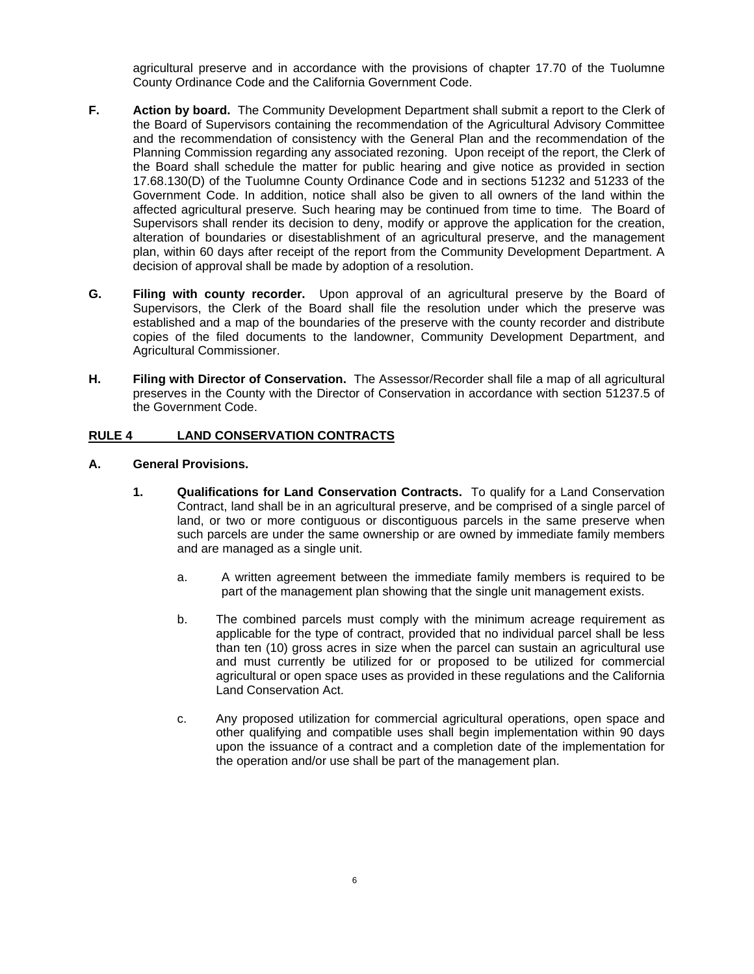agricultural preserve and in accordance with the provisions of chapter 17.70 of the Tuolumne County Ordinance Code and the California Government Code.

- **F. Action by board.** The Community Development Department shall submit a report to the Clerk of the Board of Supervisors containing the recommendation of the Agricultural Advisory Committee and the recommendation of consistency with the General Plan and the recommendation of the Planning Commission regarding any associated rezoning. Upon receipt of the report, the Clerk of the Board shall schedule the matter for public hearing and give notice as provided in section 17.68.130(D) of the Tuolumne County Ordinance Code and in sections 51232 and 51233 of the Government Code. In addition, notice shall also be given to all owners of the land within the affected agricultural preserve*.* Such hearing may be continued from time to time. The Board of Supervisors shall render its decision to deny, modify or approve the application for the creation, alteration of boundaries or disestablishment of an agricultural preserve, and the management plan, within 60 days after receipt of the report from the Community Development Department. A decision of approval shall be made by adoption of a resolution.
- **G. Filing with county recorder.** Upon approval of an agricultural preserve by the Board of Supervisors, the Clerk of the Board shall file the resolution under which the preserve was established and a map of the boundaries of the preserve with the county recorder and distribute copies of the filed documents to the landowner, Community Development Department, and Agricultural Commissioner.
- **H. Filing with Director of Conservation.** The Assessor/Recorder shall file a map of all agricultural preserves in the County with the Director of Conservation in accordance with section 51237.5 of the Government Code.

# **RULE 4 LAND CONSERVATION CONTRACTS**

#### **A. General Provisions.**

- **1. Qualifications for Land Conservation Contracts.** To qualify for a Land Conservation Contract, land shall be in an agricultural preserve, and be comprised of a single parcel of land, or two or more contiguous or discontiguous parcels in the same preserve when such parcels are under the same ownership or are owned by immediate family members and are managed as a single unit.
	- a. A written agreement between the immediate family members is required to be part of the management plan showing that the single unit management exists.
	- b. The combined parcels must comply with the minimum acreage requirement as applicable for the type of contract, provided that no individual parcel shall be less than ten (10) gross acres in size when the parcel can sustain an agricultural use and must currently be utilized for or proposed to be utilized for commercial agricultural or open space uses as provided in these regulations and the California Land Conservation Act.
	- c. Any proposed utilization for commercial agricultural operations, open space and other qualifying and compatible uses shall begin implementation within 90 days upon the issuance of a contract and a completion date of the implementation for the operation and/or use shall be part of the management plan.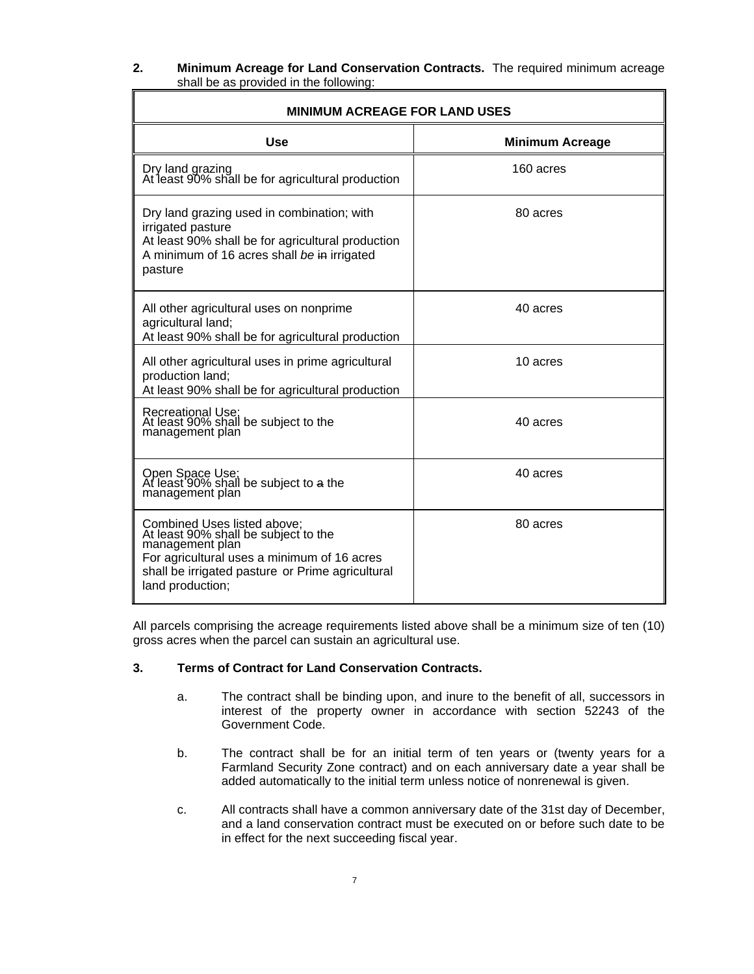| z. | Minimum Acreage for Land Conservation Contracts. The required minimum acreage |  |
|----|-------------------------------------------------------------------------------|--|
|    | shall be as provided in the following:                                        |  |

| <b>MINIMUM ACREAGE FOR LAND USES</b>                                                                                                                                                                          |                        |  |  |
|---------------------------------------------------------------------------------------------------------------------------------------------------------------------------------------------------------------|------------------------|--|--|
| <b>Use</b>                                                                                                                                                                                                    | <b>Minimum Acreage</b> |  |  |
| Dry land grazing<br>At least 90% shall be for agricultural production                                                                                                                                         | 160 acres              |  |  |
| Dry land grazing used in combination; with<br>irrigated pasture<br>At least 90% shall be for agricultural production<br>A minimum of 16 acres shall be in irrigated<br>pasture                                | 80 acres               |  |  |
| All other agricultural uses on nonprime<br>agricultural land;<br>At least 90% shall be for agricultural production                                                                                            | 40 acres               |  |  |
| All other agricultural uses in prime agricultural<br>production land;<br>At least 90% shall be for agricultural production                                                                                    | 10 acres               |  |  |
| Recreational Use;<br>At least 90% shall be subject to the<br>management plan                                                                                                                                  | 40 acres               |  |  |
| Open Space Use;<br>At least 90% shall be subject to a the<br>management plan                                                                                                                                  | 40 acres               |  |  |
| Combined Uses listed above;<br>At least 90% shall be subject to the<br>management plan<br>For agricultural uses a minimum of 16 acres<br>shall be irrigated pasture or Prime agricultural<br>land production; | 80 acres               |  |  |

All parcels comprising the acreage requirements listed above shall be a minimum size of ten (10) gross acres when the parcel can sustain an agricultural use.

## **3. Terms of Contract for Land Conservation Contracts.**

- a. The contract shall be binding upon, and inure to the benefit of all, successors in interest of the property owner in accordance with section 52243 of the Government Code.
- b. The contract shall be for an initial term of ten years or (twenty years for a Farmland Security Zone contract) and on each anniversary date a year shall be added automatically to the initial term unless notice of nonrenewal is given.
- c. All contracts shall have a common anniversary date of the 31st day of December, and a land conservation contract must be executed on or before such date to be in effect for the next succeeding fiscal year.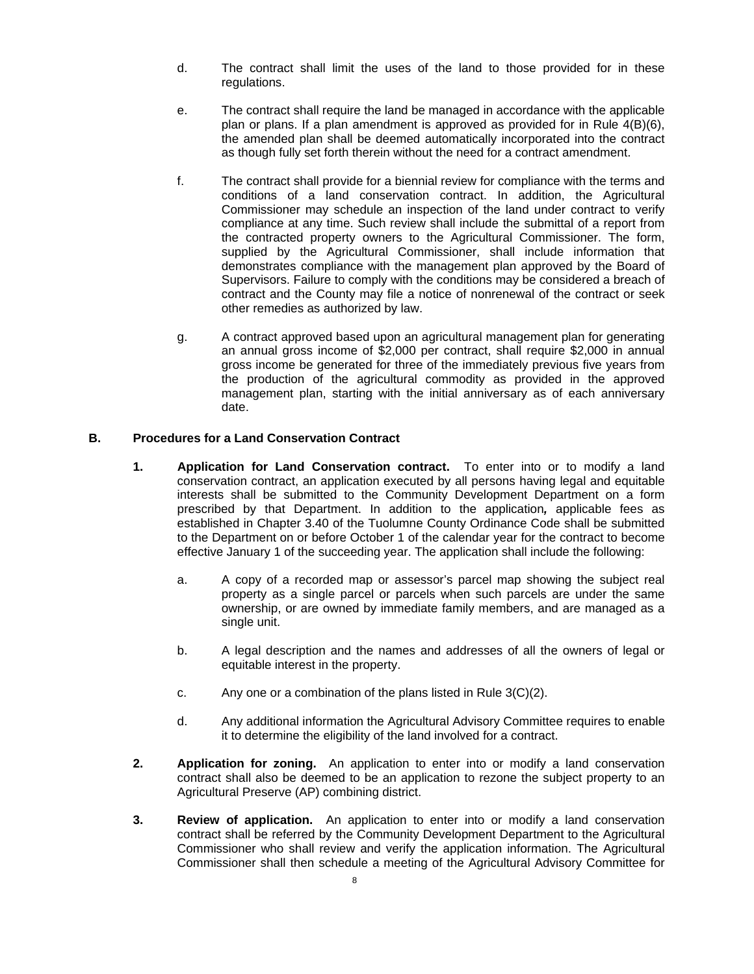- d. The contract shall limit the uses of the land to those provided for in these regulations.
- e. The contract shall require the land be managed in accordance with the applicable plan or plans. If a plan amendment is approved as provided for in Rule 4(B)(6), the amended plan shall be deemed automatically incorporated into the contract as though fully set forth therein without the need for a contract amendment.
- f. The contract shall provide for a biennial review for compliance with the terms and conditions of a land conservation contract. In addition, the Agricultural Commissioner may schedule an inspection of the land under contract to verify compliance at any time. Such review shall include the submittal of a report from the contracted property owners to the Agricultural Commissioner. The form, supplied by the Agricultural Commissioner, shall include information that demonstrates compliance with the management plan approved by the Board of Supervisors. Failure to comply with the conditions may be considered a breach of contract and the County may file a notice of nonrenewal of the contract or seek other remedies as authorized by law.
- g. A contract approved based upon an agricultural management plan for generating an annual gross income of \$2,000 per contract, shall require \$2,000 in annual gross income be generated for three of the immediately previous five years from the production of the agricultural commodity as provided in the approved management plan, starting with the initial anniversary as of each anniversary date.

### **B. Procedures for a Land Conservation Contract**

- **1. Application for Land Conservation contract.** To enter into or to modify a land conservation contract, an application executed by all persons having legal and equitable interests shall be submitted to the Community Development Department on a form prescribed by that Department. In addition to the application*,* applicable fees as established in Chapter 3.40 of the Tuolumne County Ordinance Code shall be submitted to the Department on or before October 1 of the calendar year for the contract to become effective January 1 of the succeeding year. The application shall include the following:
	- a. A copy of a recorded map or assessor's parcel map showing the subject real property as a single parcel or parcels when such parcels are under the same ownership, or are owned by immediate family members, and are managed as a single unit.
	- b. A legal description and the names and addresses of all the owners of legal or equitable interest in the property.
	- c. Any one or a combination of the plans listed in Rule 3(C)(2).
	- d. Any additional information the Agricultural Advisory Committee requires to enable it to determine the eligibility of the land involved for a contract.
- **2. Application for zoning.** An application to enter into or modify a land conservation contract shall also be deemed to be an application to rezone the subject property to an Agricultural Preserve (AP) combining district.
- **3. Review of application.** An application to enter into or modify a land conservation contract shall be referred by the Community Development Department to the Agricultural Commissioner who shall review and verify the application information. The Agricultural Commissioner shall then schedule a meeting of the Agricultural Advisory Committee for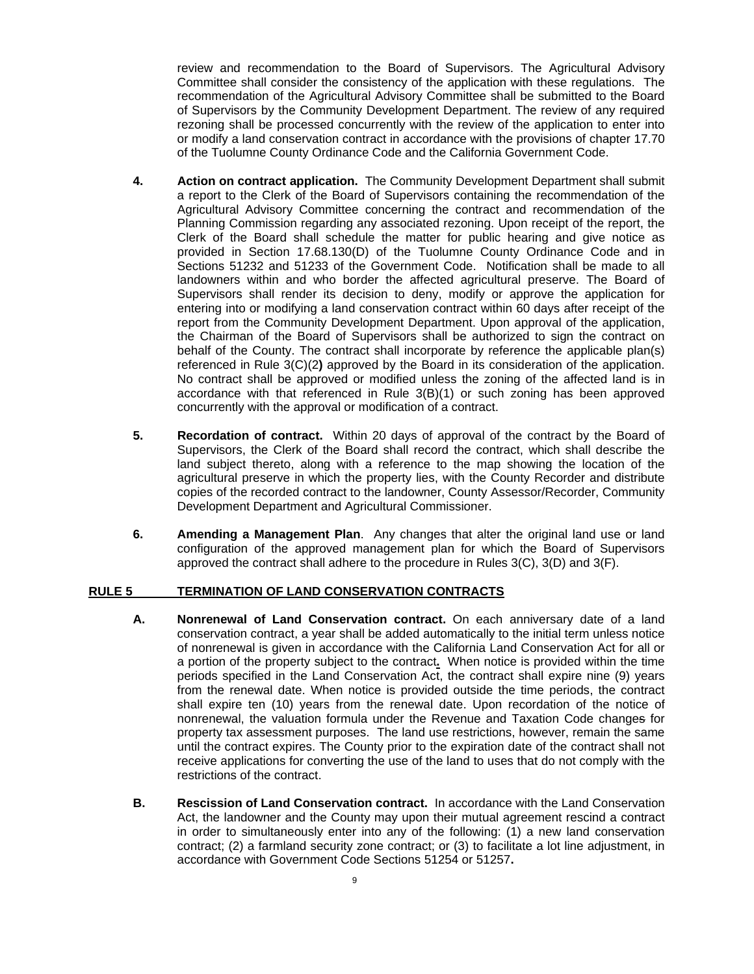review and recommendation to the Board of Supervisors. The Agricultural Advisory Committee shall consider the consistency of the application with these regulations. The recommendation of the Agricultural Advisory Committee shall be submitted to the Board of Supervisors by the Community Development Department. The review of any required rezoning shall be processed concurrently with the review of the application to enter into or modify a land conservation contract in accordance with the provisions of chapter 17.70 of the Tuolumne County Ordinance Code and the California Government Code.

- **4. Action on contract application.** The Community Development Department shall submit a report to the Clerk of the Board of Supervisors containing the recommendation of the Agricultural Advisory Committee concerning the contract and recommendation of the Planning Commission regarding any associated rezoning. Upon receipt of the report, the Clerk of the Board shall schedule the matter for public hearing and give notice as provided in Section 17.68.130(D) of the Tuolumne County Ordinance Code and in Sections 51232 and 51233 of the Government Code. Notification shall be made to all landowners within and who border the affected agricultural preserve. The Board of Supervisors shall render its decision to deny, modify or approve the application for entering into or modifying a land conservation contract within 60 days after receipt of the report from the Community Development Department. Upon approval of the application, the Chairman of the Board of Supervisors shall be authorized to sign the contract on behalf of the County. The contract shall incorporate by reference the applicable plan(s) referenced in Rule 3(C)(2**)** approved by the Board in its consideration of the application. No contract shall be approved or modified unless the zoning of the affected land is in accordance with that referenced in Rule 3(B)(1) or such zoning has been approved concurrently with the approval or modification of a contract.
- **5. Recordation of contract.** Within 20 days of approval of the contract by the Board of Supervisors, the Clerk of the Board shall record the contract, which shall describe the land subject thereto, along with a reference to the map showing the location of the agricultural preserve in which the property lies, with the County Recorder and distribute copies of the recorded contract to the landowner, County Assessor/Recorder, Community Development Department and Agricultural Commissioner.
- **6. Amending a Management Plan**. Any changes that alter the original land use or land configuration of the approved management plan for which the Board of Supervisors approved the contract shall adhere to the procedure in Rules 3(C), 3(D) and 3(F).

#### **RULE 5 TERMINATION OF LAND CONSERVATION CONTRACTS**

- **A. Nonrenewal of Land Conservation contract.** On each anniversary date of a land conservation contract, a year shall be added automatically to the initial term unless notice of nonrenewal is given in accordance with the California Land Conservation Act for all or a portion of the property subject to the contract**.** When notice is provided within the time periods specified in the Land Conservation Act, the contract shall expire nine (9) years from the renewal date. When notice is provided outside the time periods, the contract shall expire ten (10) years from the renewal date. Upon recordation of the notice of nonrenewal, the valuation formula under the Revenue and Taxation Code changes for property tax assessment purposes. The land use restrictions, however, remain the same until the contract expires. The County prior to the expiration date of the contract shall not receive applications for converting the use of the land to uses that do not comply with the restrictions of the contract.
- **B. Rescission of Land Conservation contract.** In accordance with the Land Conservation Act, the landowner and the County may upon their mutual agreement rescind a contract in order to simultaneously enter into any of the following: (1) a new land conservation contract; (2) a farmland security zone contract; or (3) to facilitate a lot line adjustment, in accordance with Government Code Sections 51254 or 51257**.**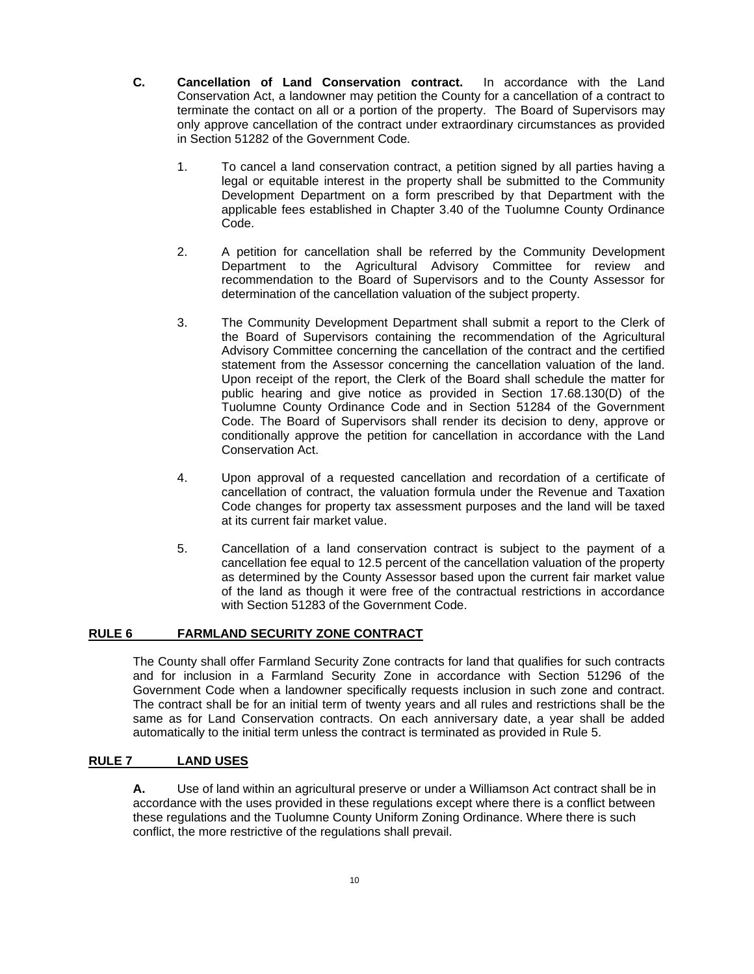- **C. Cancellation of Land Conservation contract.** In accordance with the Land Conservation Act, a landowner may petition the County for a cancellation of a contract to terminate the contact on all or a portion of the property. The Board of Supervisors may only approve cancellation of the contract under extraordinary circumstances as provided in Section 51282 of the Government Code*.* 
	- 1. To cancel a land conservation contract, a petition signed by all parties having a legal or equitable interest in the property shall be submitted to the Community Development Department on a form prescribed by that Department with the applicable fees established in Chapter 3.40 of the Tuolumne County Ordinance Code.
	- 2. A petition for cancellation shall be referred by the Community Development Department to the Agricultural Advisory Committee for review and recommendation to the Board of Supervisors and to the County Assessor for determination of the cancellation valuation of the subject property.
	- 3. The Community Development Department shall submit a report to the Clerk of the Board of Supervisors containing the recommendation of the Agricultural Advisory Committee concerning the cancellation of the contract and the certified statement from the Assessor concerning the cancellation valuation of the land. Upon receipt of the report, the Clerk of the Board shall schedule the matter for public hearing and give notice as provided in Section 17.68.130(D) of the Tuolumne County Ordinance Code and in Section 51284 of the Government Code. The Board of Supervisors shall render its decision to deny, approve or conditionally approve the petition for cancellation in accordance with the Land Conservation Act.
	- 4. Upon approval of a requested cancellation and recordation of a certificate of cancellation of contract, the valuation formula under the Revenue and Taxation Code changes for property tax assessment purposes and the land will be taxed at its current fair market value.
	- 5. Cancellation of a land conservation contract is subject to the payment of a cancellation fee equal to 12.5 percent of the cancellation valuation of the property as determined by the County Assessor based upon the current fair market value of the land as though it were free of the contractual restrictions in accordance with Section 51283 of the Government Code.

## **RULE 6 FARMLAND SECURITY ZONE CONTRACT**

 The County shall offer Farmland Security Zone contracts for land that qualifies for such contracts and for inclusion in a Farmland Security Zone in accordance with Section 51296 of the Government Code when a landowner specifically requests inclusion in such zone and contract. The contract shall be for an initial term of twenty years and all rules and restrictions shall be the same as for Land Conservation contracts. On each anniversary date, a year shall be added automatically to the initial term unless the contract is terminated as provided in Rule 5.

#### **RULE 7 LAND USES**

**A.** Use of land within an agricultural preserve or under a Williamson Act contract shall be in accordance with the uses provided in these regulations except where there is a conflict between these regulations and the Tuolumne County Uniform Zoning Ordinance. Where there is such conflict, the more restrictive of the regulations shall prevail.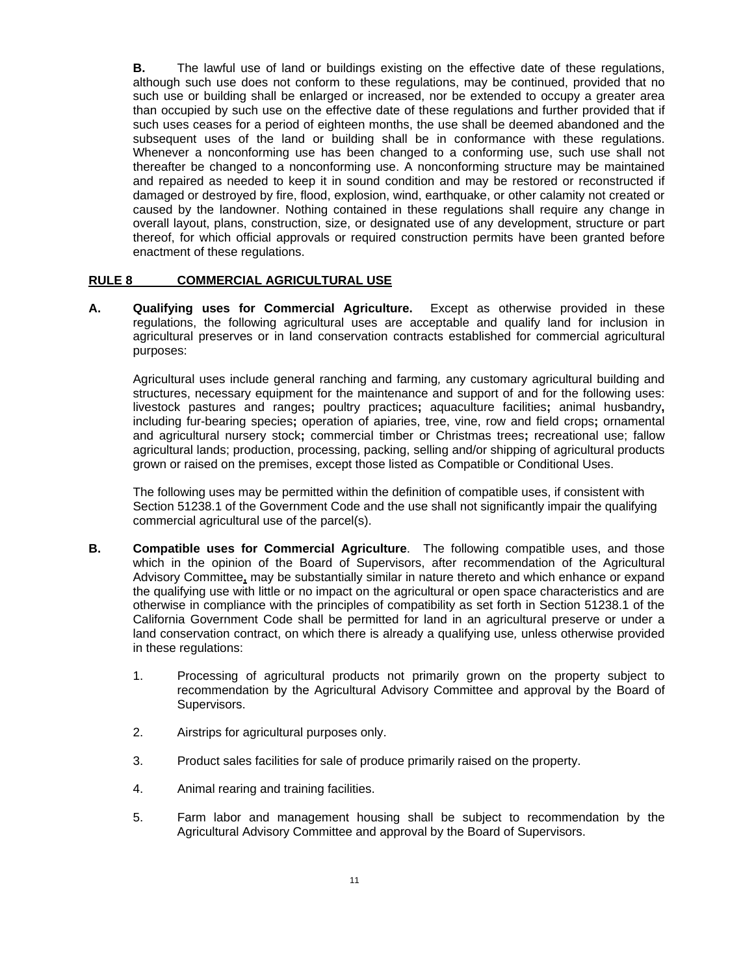**B.** The lawful use of land or buildings existing on the effective date of these regulations, although such use does not conform to these regulations, may be continued, provided that no such use or building shall be enlarged or increased, nor be extended to occupy a greater area than occupied by such use on the effective date of these regulations and further provided that if such uses ceases for a period of eighteen months, the use shall be deemed abandoned and the subsequent uses of the land or building shall be in conformance with these regulations. Whenever a nonconforming use has been changed to a conforming use, such use shall not thereafter be changed to a nonconforming use. A nonconforming structure may be maintained and repaired as needed to keep it in sound condition and may be restored or reconstructed if damaged or destroyed by fire, flood, explosion, wind, earthquake, or other calamity not created or caused by the landowner. Nothing contained in these regulations shall require any change in overall layout, plans, construction, size, or designated use of any development, structure or part thereof, for which official approvals or required construction permits have been granted before enactment of these regulations.

### **RULE 8 COMMERCIAL AGRICULTURAL USE**

**A. Qualifying uses for Commercial Agriculture.** Except as otherwise provided in these regulations, the following agricultural uses are acceptable and qualify land for inclusion in agricultural preserves or in land conservation contracts established for commercial agricultural purposes:

Agricultural uses include general ranching and farming*,* any customary agricultural building and structures, necessary equipment for the maintenance and support of and for the following uses: livestock pastures and ranges**;** poultry practices**;** aquaculture facilities**;** animal husbandry**,** including fur-bearing species**;** operation of apiaries, tree, vine, row and field crops**;** ornamental and agricultural nursery stock**;** commercial timber or Christmas trees**;** recreational use; fallow agricultural lands; production, processing, packing, selling and/or shipping of agricultural products grown or raised on the premises, except those listed as Compatible or Conditional Uses.

The following uses may be permitted within the definition of compatible uses, if consistent with Section 51238.1 of the Government Code and the use shall not significantly impair the qualifying commercial agricultural use of the parcel(s).

- **B. Compatible uses for Commercial Agriculture**. The following compatible uses, and those which in the opinion of the Board of Supervisors, after recommendation of the Agricultural Advisory Committee**,** may be substantially similar in nature thereto and which enhance or expand the qualifying use with little or no impact on the agricultural or open space characteristics and are otherwise in compliance with the principles of compatibility as set forth in Section 51238.1 of the California Government Code shall be permitted for land in an agricultural preserve or under a land conservation contract, on which there is already a qualifying use*,* unless otherwise provided in these regulations:
	- 1. Processing of agricultural products not primarily grown on the property subject to recommendation by the Agricultural Advisory Committee and approval by the Board of Supervisors.
	- 2. Airstrips for agricultural purposes only.
	- 3. Product sales facilities for sale of produce primarily raised on the property.
	- 4. Animal rearing and training facilities.
	- 5. Farm labor and management housing shall be subject to recommendation by the Agricultural Advisory Committee and approval by the Board of Supervisors.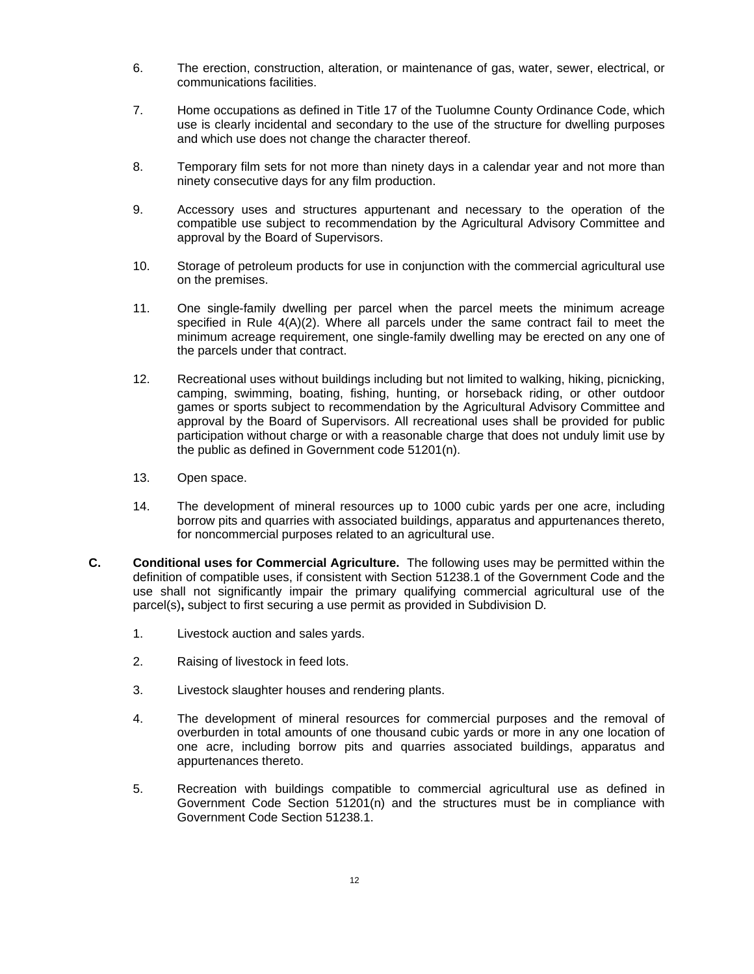- 6. The erection, construction, alteration, or maintenance of gas, water, sewer, electrical, or communications facilities.
- 7. Home occupations as defined in Title 17 of the Tuolumne County Ordinance Code, which use is clearly incidental and secondary to the use of the structure for dwelling purposes and which use does not change the character thereof.
- 8. Temporary film sets for not more than ninety days in a calendar year and not more than ninety consecutive days for any film production.
- 9. Accessory uses and structures appurtenant and necessary to the operation of the compatible use subject to recommendation by the Agricultural Advisory Committee and approval by the Board of Supervisors.
- 10. Storage of petroleum products for use in conjunction with the commercial agricultural use on the premises.
- 11. One single-family dwelling per parcel when the parcel meets the minimum acreage specified in Rule  $4(A)(2)$ . Where all parcels under the same contract fail to meet the minimum acreage requirement, one single-family dwelling may be erected on any one of the parcels under that contract.
- 12. Recreational uses without buildings including but not limited to walking, hiking, picnicking, camping, swimming, boating, fishing, hunting, or horseback riding, or other outdoor games or sports subject to recommendation by the Agricultural Advisory Committee and approval by the Board of Supervisors. All recreational uses shall be provided for public participation without charge or with a reasonable charge that does not unduly limit use by the public as defined in Government code 51201(n).
- 13. Open space.
- 14. The development of mineral resources up to 1000 cubic yards per one acre, including borrow pits and quarries with associated buildings, apparatus and appurtenances thereto, for noncommercial purposes related to an agricultural use.
- **C. Conditional uses for Commercial Agriculture.** The following uses may be permitted within the definition of compatible uses, if consistent with Section 51238.1 of the Government Code and the use shall not significantly impair the primary qualifying commercial agricultural use of the parcel(s)**,** subject to first securing a use permit as provided in Subdivision D*.*
	- 1. Livestock auction and sales yards.
	- 2. Raising of livestock in feed lots.
	- 3. Livestock slaughter houses and rendering plants.
	- 4. The development of mineral resources for commercial purposes and the removal of overburden in total amounts of one thousand cubic yards or more in any one location of one acre, including borrow pits and quarries associated buildings, apparatus and appurtenances thereto.
	- 5. Recreation with buildings compatible to commercial agricultural use as defined in Government Code Section 51201(n) and the structures must be in compliance with Government Code Section 51238.1.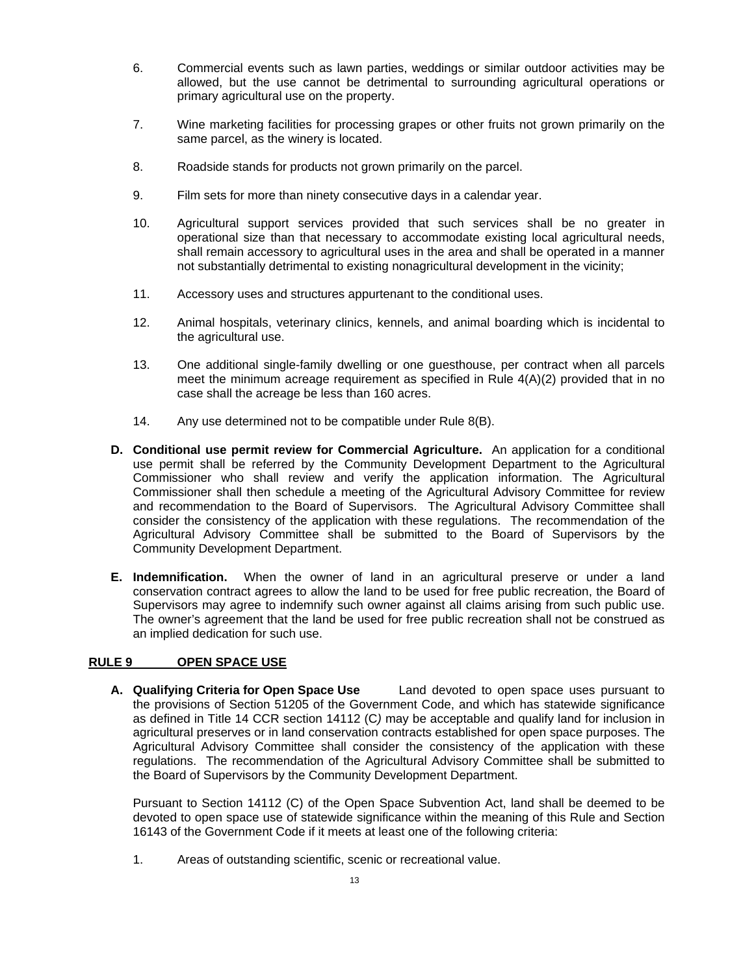- 6. Commercial events such as lawn parties, weddings or similar outdoor activities may be allowed, but the use cannot be detrimental to surrounding agricultural operations or primary agricultural use on the property.
- 7. Wine marketing facilities for processing grapes or other fruits not grown primarily on the same parcel, as the winery is located.
- 8. Roadside stands for products not grown primarily on the parcel.
- 9. Film sets for more than ninety consecutive days in a calendar year.
- 10. Agricultural support services provided that such services shall be no greater in operational size than that necessary to accommodate existing local agricultural needs, shall remain accessory to agricultural uses in the area and shall be operated in a manner not substantially detrimental to existing nonagricultural development in the vicinity;
- 11. Accessory uses and structures appurtenant to the conditional uses.
- 12. Animal hospitals, veterinary clinics, kennels, and animal boarding which is incidental to the agricultural use.
- 13. One additional single-family dwelling or one guesthouse, per contract when all parcels meet the minimum acreage requirement as specified in Rule 4(A)(2) provided that in no case shall the acreage be less than 160 acres.
- 14. Any use determined not to be compatible under Rule 8(B).
- **D. Conditional use permit review for Commercial Agriculture.** An application for a conditional use permit shall be referred by the Community Development Department to the Agricultural Commissioner who shall review and verify the application information. The Agricultural Commissioner shall then schedule a meeting of the Agricultural Advisory Committee for review and recommendation to the Board of Supervisors. The Agricultural Advisory Committee shall consider the consistency of the application with these regulations. The recommendation of the Agricultural Advisory Committee shall be submitted to the Board of Supervisors by the Community Development Department.
- **E. Indemnification.**When the owner of land in an agricultural preserve or under a land conservation contract agrees to allow the land to be used for free public recreation, the Board of Supervisors may agree to indemnify such owner against all claims arising from such public use. The owner's agreement that the land be used for free public recreation shall not be construed as an implied dedication for such use.

# **RULE 9 OPEN SPACE USE**

**A. Qualifying Criteria for Open Space Use** Land devoted to open space uses pursuant to the provisions of Section 51205 of the Government Code, and which has statewide significance as defined in Title 14 CCR section 14112 (C*)* may be acceptable and qualify land for inclusion in agricultural preserves or in land conservation contracts established for open space purposes. The Agricultural Advisory Committee shall consider the consistency of the application with these regulations. The recommendation of the Agricultural Advisory Committee shall be submitted to the Board of Supervisors by the Community Development Department.

Pursuant to Section 14112 (C) of the Open Space Subvention Act, land shall be deemed to be devoted to open space use of statewide significance within the meaning of this Rule and Section 16143 of the Government Code if it meets at least one of the following criteria:

1. Areas of outstanding scientific, scenic or recreational value.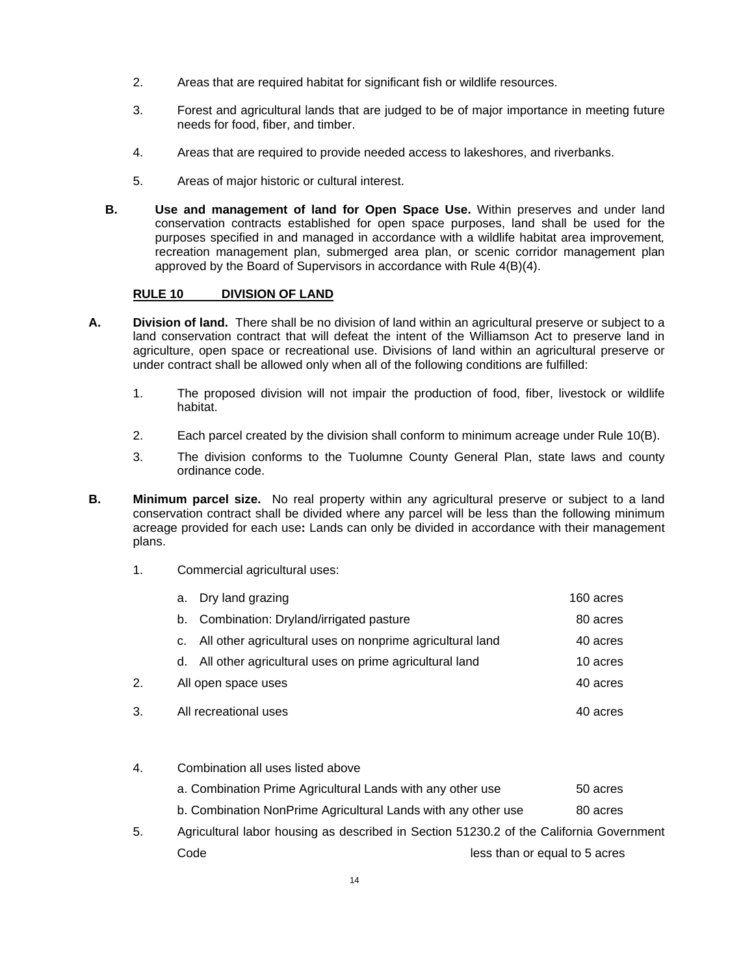- 2. Areas that are required habitat for significant fish or wildlife resources.
- 3. Forest and agricultural lands that are judged to be of major importance in meeting future needs for food, fiber, and timber.
- 4. Areas that are required to provide needed access to lakeshores, and riverbanks.
- 5. Areas of major historic or cultural interest.
- **B. Use and management of land for Open Space Use.** Within preserves and under land conservation contracts established for open space purposes, land shall be used for the purposes specified in and managed in accordance with a wildlife habitat area improvement*,*  recreation management plan, submerged area plan, or scenic corridor management plan approved by the Board of Supervisors in accordance with Rule 4(B)(4).

### **RULE 10 DIVISION OF LAND**

- **A. Division of land.** There shall be no division of land within an agricultural preserve or subject to a land conservation contract that will defeat the intent of the Williamson Act to preserve land in agriculture, open space or recreational use. Divisions of land within an agricultural preserve or under contract shall be allowed only when all of the following conditions are fulfilled:
	- 1. The proposed division will not impair the production of food, fiber, livestock or wildlife habitat.
	- 2. Each parcel created by the division shall conform to minimum acreage under Rule 10(B).
	- 3. The division conforms to the Tuolumne County General Plan, state laws and county ordinance code.
- **B.** Minimum parcel size. No real property within any agricultural preserve or subject to a land conservation contract shall be divided where any parcel will be less than the following minimum acreage provided for each use**:** Lands can only be divided in accordance with their management plans.
	- 1. Commercial agricultural uses:

|    | a. Dry land grazing                                          | 160 acres |
|----|--------------------------------------------------------------|-----------|
|    | b. Combination: Dryland/irrigated pasture                    | 80 acres  |
|    | c. All other agricultural uses on nonprime agricultural land | 40 acres  |
|    | d. All other agricultural uses on prime agricultural land    | 10 acres  |
| 2. | All open space uses                                          | 40 acres  |
| 3. | All recreational uses                                        | 40 acres  |

4. Combination all uses listed above

| a. Combination Prime Agricultural Lands with any other use    | 50 acres |
|---------------------------------------------------------------|----------|
| b. Combination NonPrime Agricultural Lands with any other use | 80 acres |

5. Agricultural labor housing as described in Section 51230.2 of the California Government Code **Code less than or equal to 5 acres**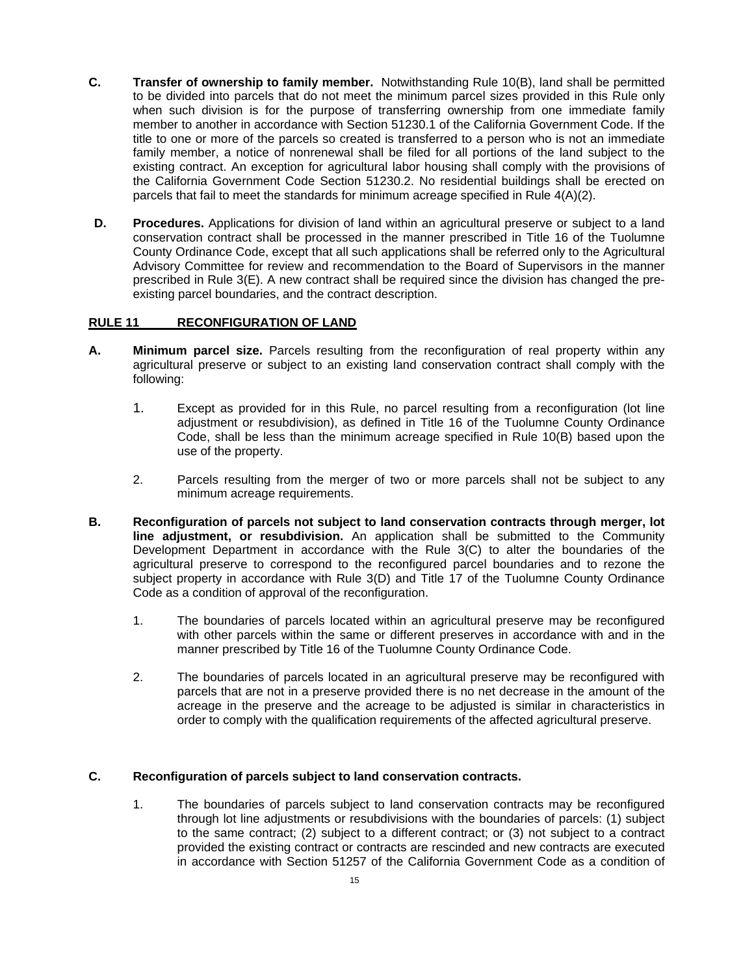- **C. Transfer of ownership to family member.** Notwithstanding Rule 10(B), land shall be permitted to be divided into parcels that do not meet the minimum parcel sizes provided in this Rule only when such division is for the purpose of transferring ownership from one immediate family member to another in accordance with Section 51230.1 of the California Government Code. If the title to one or more of the parcels so created is transferred to a person who is not an immediate family member, a notice of nonrenewal shall be filed for all portions of the land subject to the existing contract. An exception for agricultural labor housing shall comply with the provisions of the California Government Code Section 51230.2. No residential buildings shall be erected on parcels that fail to meet the standards for minimum acreage specified in Rule 4(A)(2).
- **D.** Procedures. Applications for division of land within an agricultural preserve or subject to a land conservation contract shall be processed in the manner prescribed in Title 16 of the Tuolumne County Ordinance Code, except that all such applications shall be referred only to the Agricultural Advisory Committee for review and recommendation to the Board of Supervisors in the manner prescribed in Rule 3(E). A new contract shall be required since the division has changed the preexisting parcel boundaries, and the contract description.

### **RULE 11 RECONFIGURATION OF LAND**

- **A. Minimum parcel size.** Parcels resulting from the reconfiguration of real property within any agricultural preserve or subject to an existing land conservation contract shall comply with the following:
	- 1. Except as provided for in this Rule, no parcel resulting from a reconfiguration (lot line adjustment or resubdivision), as defined in Title 16 of the Tuolumne County Ordinance Code, shall be less than the minimum acreage specified in Rule 10(B) based upon the use of the property.
	- 2. Parcels resulting from the merger of two or more parcels shall not be subject to any minimum acreage requirements.
- **B. Reconfiguration of parcels not subject to land conservation contracts through merger, lot line adjustment, or resubdivision.** An application shall be submitted to the Community Development Department in accordance with the Rule 3(C) to alter the boundaries of the agricultural preserve to correspond to the reconfigured parcel boundaries and to rezone the subject property in accordance with Rule 3(D) and Title 17 of the Tuolumne County Ordinance Code as a condition of approval of the reconfiguration.
	- 1. The boundaries of parcels located within an agricultural preserve may be reconfigured with other parcels within the same or different preserves in accordance with and in the manner prescribed by Title 16 of the Tuolumne County Ordinance Code.
	- 2. The boundaries of parcels located in an agricultural preserve may be reconfigured with parcels that are not in a preserve provided there is no net decrease in the amount of the acreage in the preserve and the acreage to be adjusted is similar in characteristics in order to comply with the qualification requirements of the affected agricultural preserve.

#### **C. Reconfiguration of parcels subject to land conservation contracts.**

1. The boundaries of parcels subject to land conservation contracts may be reconfigured through lot line adjustments or resubdivisions with the boundaries of parcels: (1) subject to the same contract; (2) subject to a different contract; or (3) not subject to a contract provided the existing contract or contracts are rescinded and new contracts are executed in accordance with Section 51257 of the California Government Code as a condition of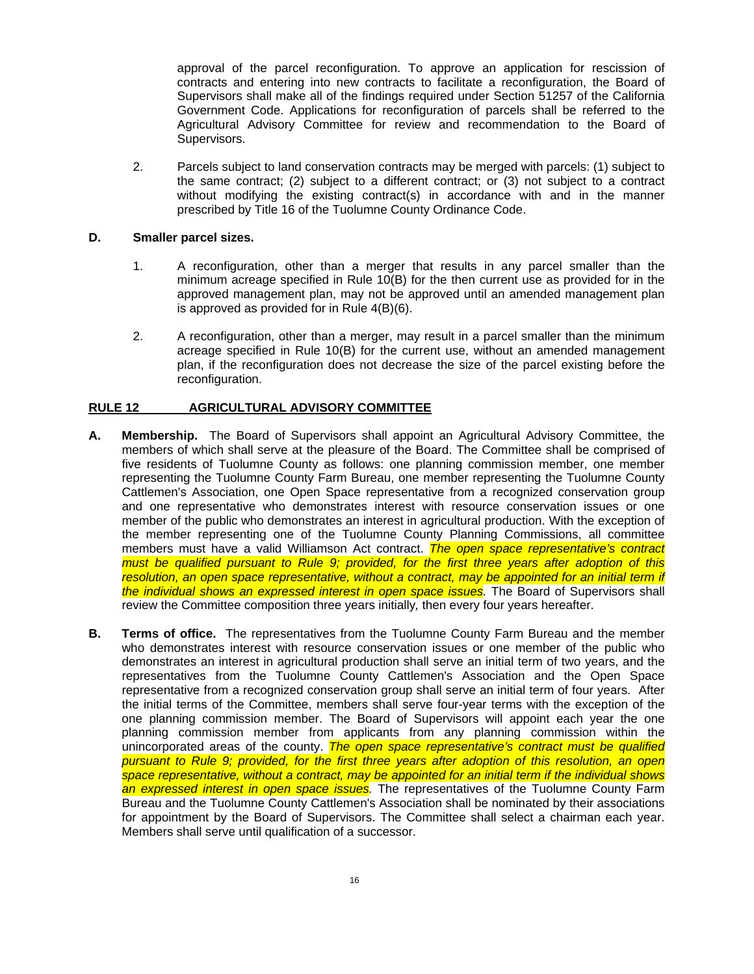approval of the parcel reconfiguration. To approve an application for rescission of contracts and entering into new contracts to facilitate a reconfiguration, the Board of Supervisors shall make all of the findings required under Section 51257 of the California Government Code. Applications for reconfiguration of parcels shall be referred to the Agricultural Advisory Committee for review and recommendation to the Board of Supervisors.

2. Parcels subject to land conservation contracts may be merged with parcels: (1) subject to the same contract; (2) subject to a different contract; or (3) not subject to a contract without modifying the existing contract(s) in accordance with and in the manner prescribed by Title 16 of the Tuolumne County Ordinance Code.

#### **D. Smaller parcel sizes.**

- 1. A reconfiguration, other than a merger that results in any parcel smaller than the minimum acreage specified in Rule 10(B) for the then current use as provided for in the approved management plan, may not be approved until an amended management plan is approved as provided for in Rule 4(B)(6).
- 2. A reconfiguration, other than a merger, may result in a parcel smaller than the minimum acreage specified in Rule 10(B) for the current use, without an amended management plan, if the reconfiguration does not decrease the size of the parcel existing before the reconfiguration.

### **RULE 12 AGRICULTURAL ADVISORY COMMITTEE**

- **A. Membership.** The Board of Supervisors shall appoint an Agricultural Advisory Committee, the members of which shall serve at the pleasure of the Board. The Committee shall be comprised of five residents of Tuolumne County as follows: one planning commission member, one member representing the Tuolumne County Farm Bureau, one member representing the Tuolumne County Cattlemen's Association, one Open Space representative from a recognized conservation group and one representative who demonstrates interest with resource conservation issues or one member of the public who demonstrates an interest in agricultural production. With the exception of the member representing one of the Tuolumne County Planning Commissions, all committee members must have a valid Williamson Act contract. *The open space representative's contract must be qualified pursuant to Rule 9; provided, for the first three years after adoption of this resolution, an open space representative, without a contract, may be appointed for an initial term if the individual shows an expressed interest in open space issues.* The Board of Supervisors shall review the Committee composition three years initially*,* then every four years hereafter.
- **B. Terms of office.** The representatives from the Tuolumne County Farm Bureau and the member who demonstrates interest with resource conservation issues or one member of the public who demonstrates an interest in agricultural production shall serve an initial term of two years, and the representatives from the Tuolumne County Cattlemen's Association and the Open Space representative from a recognized conservation group shall serve an initial term of four years. After the initial terms of the Committee, members shall serve four-year terms with the exception of the one planning commission member. The Board of Supervisors will appoint each year the one planning commission member from applicants from any planning commission within the unincorporated areas of the county. *The open space representative's contract must be qualified pursuant to Rule 9; provided, for the first three years after adoption of this resolution, an open space representative, without a contract, may be appointed for an initial term if the individual shows an expressed interest in open space issues.* The representatives of the Tuolumne County Farm Bureau and the Tuolumne County Cattlemen's Association shall be nominated by their associations for appointment by the Board of Supervisors. The Committee shall select a chairman each year. Members shall serve until qualification of a successor.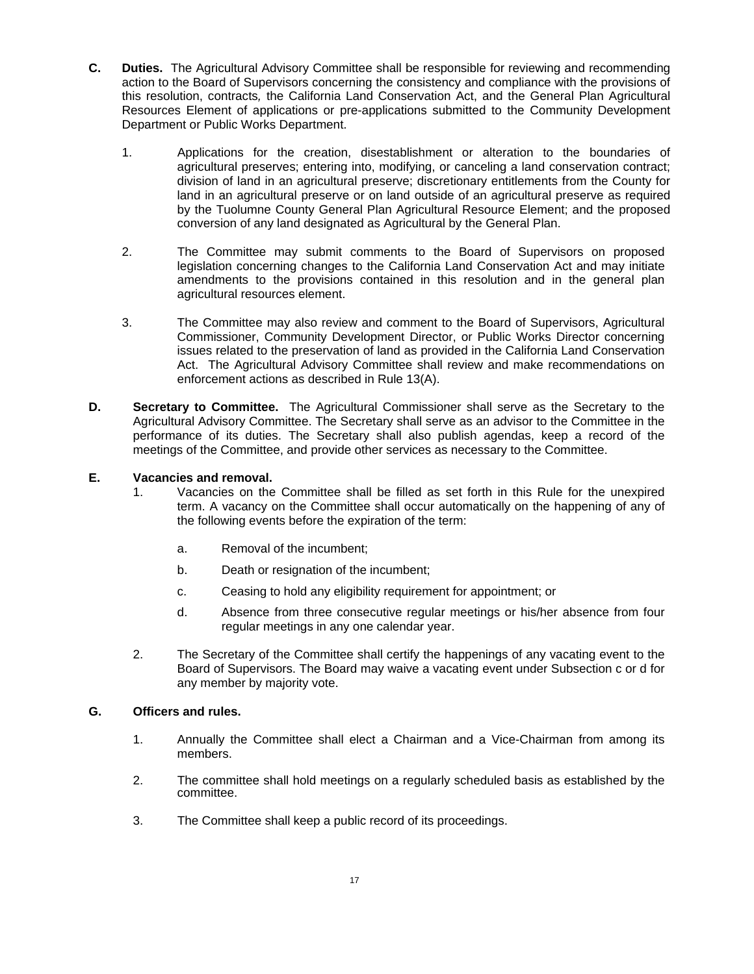- **C. Duties.** The Agricultural Advisory Committee shall be responsible for reviewing and recommending action to the Board of Supervisors concerning the consistency and compliance with the provisions of this resolution, contracts*,* the California Land Conservation Act, and the General Plan Agricultural Resources Element of applications or pre-applications submitted to the Community Development Department or Public Works Department.
	- 1. Applications for the creation, disestablishment or alteration to the boundaries of agricultural preserves; entering into, modifying, or canceling a land conservation contract; division of land in an agricultural preserve; discretionary entitlements from the County for land in an agricultural preserve or on land outside of an agricultural preserve as required by the Tuolumne County General Plan Agricultural Resource Element; and the proposed conversion of any land designated as Agricultural by the General Plan.
	- 2. The Committee may submit comments to the Board of Supervisors on proposed legislation concerning changes to the California Land Conservation Act and may initiate amendments to the provisions contained in this resolution and in the general plan agricultural resources element.
	- 3. The Committee may also review and comment to the Board of Supervisors, Agricultural Commissioner, Community Development Director, or Public Works Director concerning issues related to the preservation of land as provided in the California Land Conservation Act. The Agricultural Advisory Committee shall review and make recommendations on enforcement actions as described in Rule 13(A).
- **D.** Secretary to Committee. The Agricultural Commissioner shall serve as the Secretary to the Agricultural Advisory Committee. The Secretary shall serve as an advisor to the Committee in the performance of its duties. The Secretary shall also publish agendas, keep a record of the meetings of the Committee, and provide other services as necessary to the Committee.

### **E. Vacancies and removal.**

- 1. Vacancies on the Committee shall be filled as set forth in this Rule for the unexpired term. A vacancy on the Committee shall occur automatically on the happening of any of the following events before the expiration of the term:
	- a. Removal of the incumbent;
	- b. Death or resignation of the incumbent;
	- c. Ceasing to hold any eligibility requirement for appointment; or
	- d. Absence from three consecutive regular meetings or his/her absence from four regular meetings in any one calendar year.
- 2. The Secretary of the Committee shall certify the happenings of any vacating event to the Board of Supervisors. The Board may waive a vacating event under Subsection c or d for any member by majority vote.

#### **G. Officers and rules.**

- 1. Annually the Committee shall elect a Chairman and a Vice-Chairman from among its members.
- 2. The committee shall hold meetings on a regularly scheduled basis as established by the committee.
- 3. The Committee shall keep a public record of its proceedings.